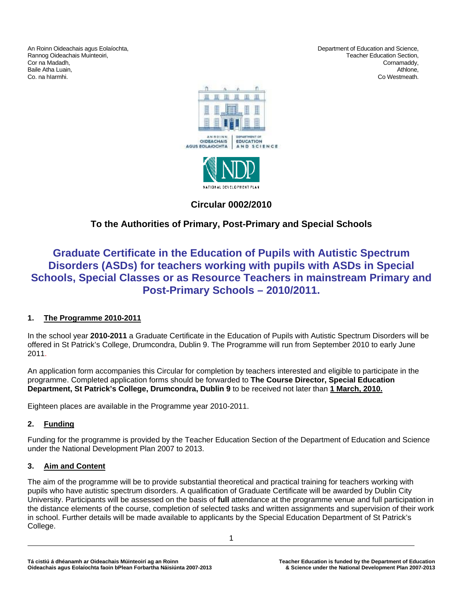An Roinn Oideachais agus Eolaíochta, Department of Education and Science, Rannog Oideachais Muinteoiri, and the community of the community of the community of the community of the community of the community of the community of the community of the community of the community of the community of t Cor na Madadh, Cornamaddy, Baile Atha Luain, Athlone, Athlone, Athlone, Athlone, Athlone, Athlone, Athlone, Athlone, Athlone, Athlone, Athlone, Athlone, Athlone, Athlone, Athlone, Athlone, Athlone, Athlone, Athlone, Athlone, Athlone, Athlone, Athlon

Co. na hIarmhi. Co Westmeath.





# **Circular 0002/2010**

# **To the Authorities of Primary, Post-Primary and Special Schools**

# **Graduate Certificate in the Education of Pupils with Autistic Spectrum Disorders (ASDs) for teachers working with pupils with ASDs in Special Schools, Special Classes or as Resource Teachers in mainstream Primary and Post-Primary Schools – 2010/2011.**

# **1. The Programme 2010-2011**

In the school year **2010-2011** a Graduate Certificate in the Education of Pupils with Autistic Spectrum Disorders will be offered in St Patrick's College, Drumcondra, Dublin 9. The Programme will run from September 2010 to early June 2011.

An application form accompanies this Circular for completion by teachers interested and eligible to participate in the programme. Completed application forms should be forwarded to **The Course Director, Special Education Department, St Patrick's College, Drumcondra, Dublin 9** to be received not later than **1 March, 2010.**

Eighteen places are available in the Programme year 2010-2011.

# **2. Funding**

Funding for the programme is provided by the Teacher Education Section of the Department of Education and Science under the National Development Plan 2007 to 2013.

# **3. Aim and Content**

The aim of the programme will be to provide substantial theoretical and practical training for teachers working with pupils who have autistic spectrum disorders. A qualification of Graduate Certificate will be awarded by Dublin City University. Participants will be assessed on the basis of **full** attendance at the programme venue and full participation in the distance elements of the course, completion of selected tasks and written assignments and supervision of their work in school. Further details will be made available to applicants by the Special Education Department of St Patrick's College.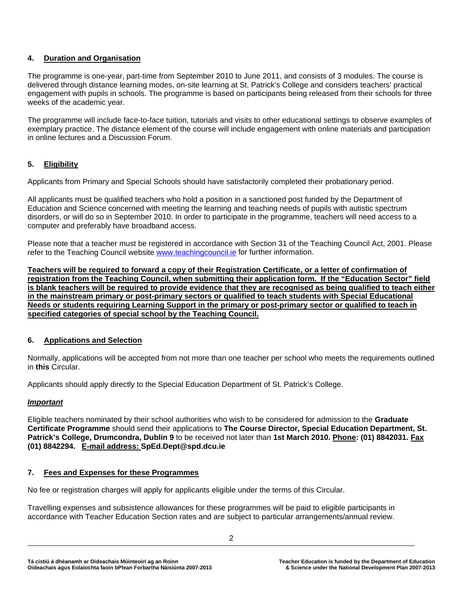# **4. Duration and Organisation**

The programme is one-year, part-time from September 2010 to June 2011, and consists of 3 modules. The course is delivered through distance learning modes, on-site learning at St. Patrick's College and considers teachers' practical engagement with pupils in schools. The programme is based on participants being released from their schools for three weeks of the academic year.

The programme will include face-to-face tuition, tutorials and visits to other educational settings to observe examples of exemplary practice. The distance element of the course will include engagement with online materials and participation in online lectures and a Discussion Forum.

# **5. Eligibility**

Applicants from Primary and Special Schools should have satisfactorily completed their probationary period.

All applicants must be qualified teachers who hold a position in a sanctioned post funded by the Department of Education and Science concerned with meeting the learning and teaching needs of pupils with autistic spectrum disorders, or will do so in September 2010. In order to participate in the programme, teachers will need access to a computer and preferably have broadband access.

Please note that a teacher must be registered in accordance with Section 31 of the Teaching Council Act, 2001. Please refer to the Teaching Council website [www.teachingcouncil.ie](http://www.teachingcouncil.ie/) for further information.

**Teachers will be required to forward a copy of their Registration Certificate, or a letter of confirmation of registration from the Teaching Council, when submitting their application form. If the "Education Sector" field is blank teachers will be required to provide evidence that they are recognised as being qualified to teach either in the mainstream primary or post-primary sectors or qualified to teach students with Special Educational Needs or students requiring Learning Support in the primary or post-primary sector or qualified to teach in specified categories of special school by the Teaching Council.**

## **6. Applications and Selection**

Normally, applications will be accepted from not more than one teacher per school who meets the requirements outlined in **this** Circular.

Applicants should apply directly to the Special Education Department of St. Patrick's College.

## *Important*

Eligible teachers nominated by their school authorities who wish to be considered for admission to the **Graduate Certificate Programme** should send their applications to **The Course Director, Special Education Department, St. Patrick's College, Drumcondra, Dublin 9** to be received not later than **1st March 2010. Phone: (01) 8842031. Fax (01) 8842294. E-mail address: SpEd.Dept@spd.dcu.ie**

## **7. Fees and Expenses for these Programmes**

No fee or registration charges will apply for applicants eligible under the terms of this Circular.

Travelling expenses and subsistence allowances for these programmes will be paid to eligible participants in accordance with Teacher Education Section rates and are subject to particular arrangements/annual review.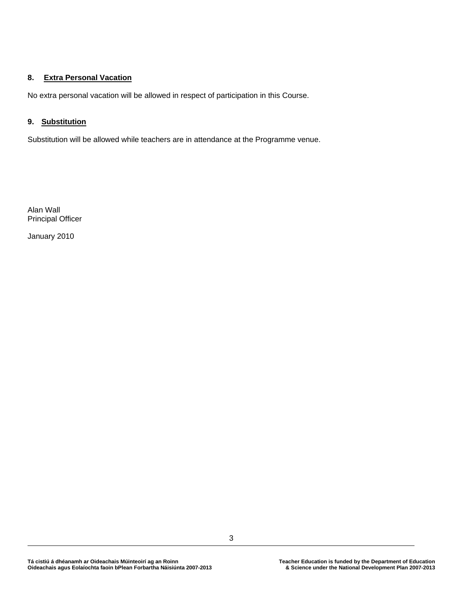## **8. Extra Personal Vacation**

No extra personal vacation will be allowed in respect of participation in this Course.

# **9. Substitution**

Substitution will be allowed while teachers are in attendance at the Programme venue.

Alan Wall Principal Officer

January 2010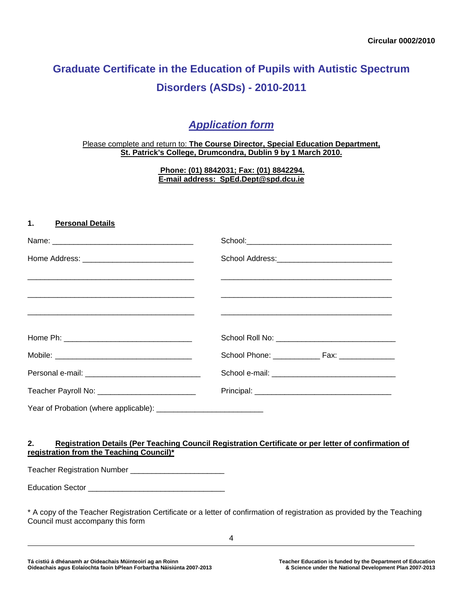# **Graduate Certificate in the Education of Pupils with Autistic Spectrum Disorders (ASDs) - 2010-2011**

# *Application form*

### Please complete and return to: **The Course Director, Special Education Department, St. Patrick's College, Drumcondra, Dublin 9 by 1 March 2010.**

**Phone: (01) 8842031; Fax: (01) 8842294. E-mail address: [SpEd.Dept@spd.dcu.ie](mailto:SpEd.Dept@spd.dcu.ie)**

# **1. Personal Details**

| <u> 1990 - Jan James James James James James James James James James James James James James James James James J</u> |  |  |
|----------------------------------------------------------------------------------------------------------------------|--|--|
|                                                                                                                      |  |  |
|                                                                                                                      |  |  |
|                                                                                                                      |  |  |
|                                                                                                                      |  |  |
|                                                                                                                      |  |  |
| Teacher Payroll No: _____________________________                                                                    |  |  |
|                                                                                                                      |  |  |

## **2. Registration Details (Per Teaching Council Registration Certificate or per letter of confirmation of registration from the Teaching Council)\***

Teacher Registration Number \_\_\_\_\_\_\_\_\_\_\_\_\_\_\_\_\_\_\_\_\_\_

Education Sector \_\_\_\_\_\_\_\_\_\_\_\_\_\_\_\_\_\_\_\_\_\_\_\_\_\_\_\_\_\_\_\_

\* A copy of the Teacher Registration Certificate or a letter of confirmation of registration as provided by the Teaching Council must accompany this form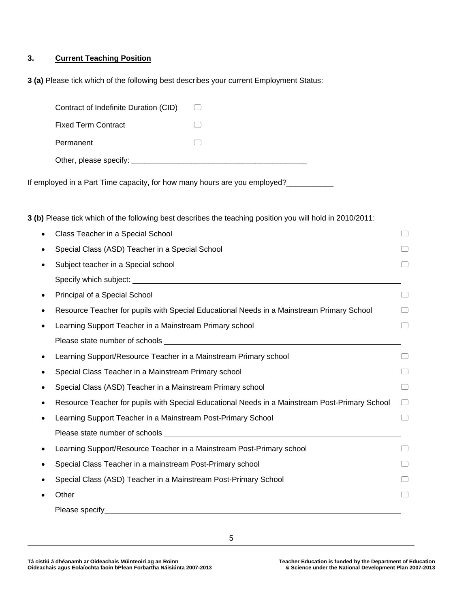## **3. Current Teaching Position**

**3 (a)** Please tick which of the following best describes your current Employment Status:

| Contract of Indefinite Duration (CID) |  |
|---------------------------------------|--|
| <b>Fixed Term Contract</b>            |  |
| Permanent                             |  |
| Other, please specify:                |  |

If employed in a Part Time capacity, for how many hours are you employed?\_\_\_\_\_\_\_\_

**3 (b)** Please tick which of the following best describes the teaching position you will hold in 2010/2011:

|   | Class Teacher in a Special School                                                              |                                  |
|---|------------------------------------------------------------------------------------------------|----------------------------------|
|   | Special Class (ASD) Teacher in a Special School                                                |                                  |
|   | Subject teacher in a Special school                                                            |                                  |
|   |                                                                                                |                                  |
| ٠ | Principal of a Special School                                                                  |                                  |
|   | Resource Teacher for pupils with Special Educational Needs in a Mainstream Primary School      |                                  |
|   | Learning Support Teacher in a Mainstream Primary school                                        |                                  |
|   |                                                                                                |                                  |
|   | Learning Support/Resource Teacher in a Mainstream Primary school                               |                                  |
|   | Special Class Teacher in a Mainstream Primary school                                           |                                  |
|   | Special Class (ASD) Teacher in a Mainstream Primary school                                     |                                  |
|   | Resource Teacher for pupils with Special Educational Needs in a Mainstream Post-Primary School | $\begin{array}{ccc} \end{array}$ |
|   | Learning Support Teacher in a Mainstream Post-Primary School                                   |                                  |
|   |                                                                                                |                                  |
|   | Learning Support/Resource Teacher in a Mainstream Post-Primary school                          |                                  |
|   | Special Class Teacher in a mainstream Post-Primary school                                      |                                  |
|   | Special Class (ASD) Teacher in a Mainstream Post-Primary School                                |                                  |
|   | Other                                                                                          |                                  |
|   | Please specify                                                                                 |                                  |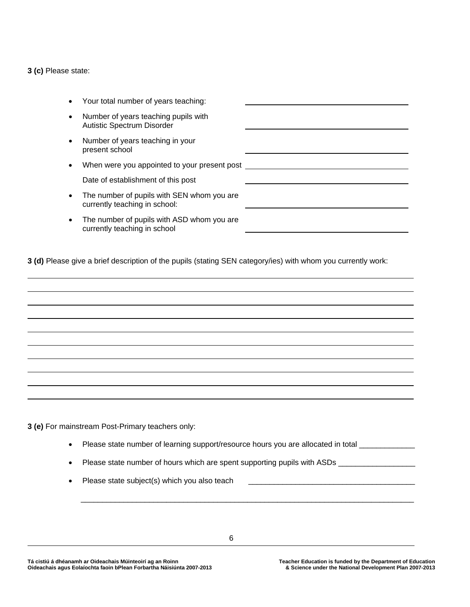#### **3 (c)** Please state:

|   | Your total number of years teaching:                                        |  |
|---|-----------------------------------------------------------------------------|--|
| ٠ | Number of years teaching pupils with<br><b>Autistic Spectrum Disorder</b>   |  |
|   | Number of years teaching in your<br>present school                          |  |
|   | When were you appointed to your present post                                |  |
|   | Date of establishment of this post                                          |  |
| ٠ | The number of pupils with SEN whom you are<br>currently teaching in school: |  |
| ٠ | The number of pupils with ASD whom you are<br>currently teaching in school  |  |

**3 (d)** Please give a brief description of the pupils (stating SEN category/ies) with whom you currently work:

**3 (e)** For mainstream Post-Primary teachers only:

- Please state number of learning support/resource hours you are allocated in total \_\_\_\_\_\_\_\_\_\_\_\_\_\_
- Please state number of hours which are spent supporting pupils with ASDs \_\_\_\_\_\_\_\_\_\_\_\_\_\_\_\_\_\_\_\_\_\_\_\_\_\_\_\_\_\_\_\_\_\_\_
- Please state subject(s) which you also teach

 $\mathcal{L}_\text{max}$  , and the contribution of the contribution of the contribution of the contribution of the contribution of the contribution of the contribution of the contribution of the contribution of the contribution of t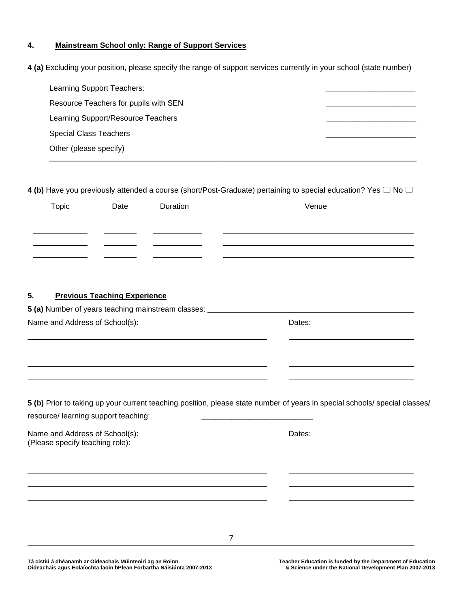### **4. Mainstream School only: Range of Support Services**

**4 (a)** Excluding your position, please specify the range of support services currently in your school (state number)

| Learning Support Teachers:            |  |
|---------------------------------------|--|
| Resource Teachers for pupils with SEN |  |
| Learning Support/Resource Teachers    |  |
| <b>Special Class Teachers</b>         |  |
| Other (please specify)                |  |
|                                       |  |

**4 (b)** Have you previously attended a course (short/Post-Graduate) pertaining to special education? Yes  $\Box$  No  $\Box$ 

| Topic | Date | Duration | Venue |
|-------|------|----------|-------|
|       |      |          |       |
|       |      |          |       |
|       |      |          |       |

# **5. Previous Teaching Experience**

**5 (a)** Number of years teaching mainstream classes:

Name and Address of School(s): Dates: Dates: **5 (b)** Prior to taking up your current teaching position, please state number of years in special schools/ special classes/ resource/ learning support teaching: Name and Address of School(s): Dates: (Please specify teaching role):

7

Tá cistiú á dhéanamh ar Oideachais Múinteoirí ag an Roinn **Inn achair agus Education is funded by the Department of Education**<br>2007-2013 A Science under the National Development Plan 2007-2013 **Oideachais agus Eolaíochta faoin bPlean Forbartha Náisiúnta 2007-2013 & Science under the National Development Plan 2007-2013**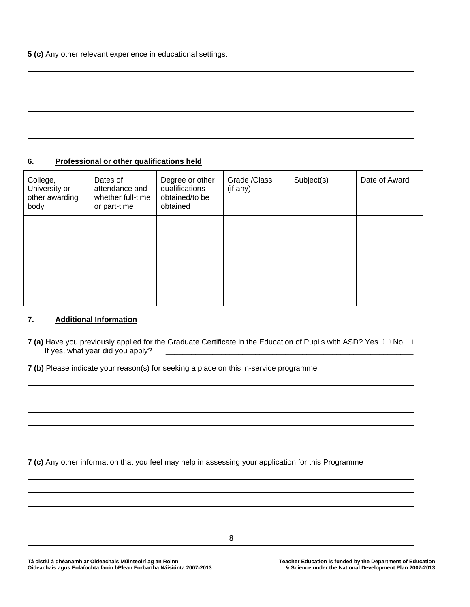### **6. Professional or other qualifications held**

| College,<br>University or<br>other awarding<br>body | Dates of<br>attendance and<br>whether full-time<br>or part-time | Degree or other<br>qualifications<br>obtained/to be<br>obtained | Grade /Class<br>(if any) | Subject(s) | Date of Award |
|-----------------------------------------------------|-----------------------------------------------------------------|-----------------------------------------------------------------|--------------------------|------------|---------------|
|                                                     |                                                                 |                                                                 |                          |            |               |
|                                                     |                                                                 |                                                                 |                          |            |               |

### **7. Additional Information**

**7 (a)** Have you previously applied for the Graduate Certificate in the Education of Pupils with ASD? Yes  $\Box$  No  $\Box$ If yes, what year did you apply?

**7 (b)** Please indicate your reason(s) for seeking a place on this in-service programme

**7 (c)** Any other information that you feel may help in assessing your application for this Programme

8

Tá cistiú á dhéanamh ar Oideachais Múinteoirí ag an Roinn **Téacher Education is funded by the Department of Education**<br>3007-2013 A Science under the National Development Plan **Oideachais agus Eolaíochta faoin bPlean Forbartha Náisiúnta 2007-2013 & Science under the National Development Plan 2007-2013**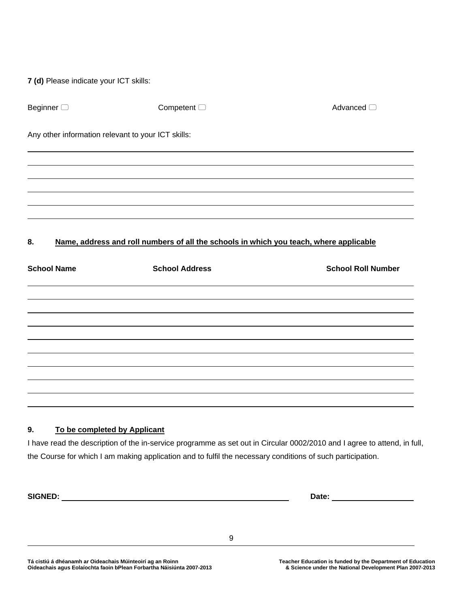| 7 (d) Please indicate your ICT skills: |                                                                                        |                           |
|----------------------------------------|----------------------------------------------------------------------------------------|---------------------------|
| Beginner <sup>1</sup>                  | Competent $\Box$                                                                       | Advanced <sup>1</sup>     |
|                                        | Any other information relevant to your ICT skills:                                     |                           |
|                                        |                                                                                        |                           |
|                                        |                                                                                        |                           |
|                                        |                                                                                        |                           |
| 8.                                     | Name, address and roll numbers of all the schools in which you teach, where applicable |                           |
| <b>School Name</b>                     | <b>School Address</b>                                                                  | <b>School Roll Number</b> |
|                                        |                                                                                        |                           |
|                                        |                                                                                        |                           |
|                                        |                                                                                        |                           |
|                                        |                                                                                        |                           |
|                                        |                                                                                        |                           |
|                                        |                                                                                        |                           |
|                                        |                                                                                        |                           |
|                                        |                                                                                        |                           |
| 9.                                     | To be completed by Applicant                                                           |                           |

I have read the description of the in-service programme as set out in Circular 0002/2010 and I agree to attend, in full, the Course for which I am making application and to fulfil the necessary conditions of such participation.

**SIGNED:** <u>Date:</u> Date: <u>Date: Date: Date: Date: Date: Date: Date: Date: Date: Date: Date: Date: Date: Date: Date: Date: Date: Date: Date: Date: Date: Date: Date: Date: Date: Date: Date: Date: Date: Date: Date: Date: Date:</u>

9